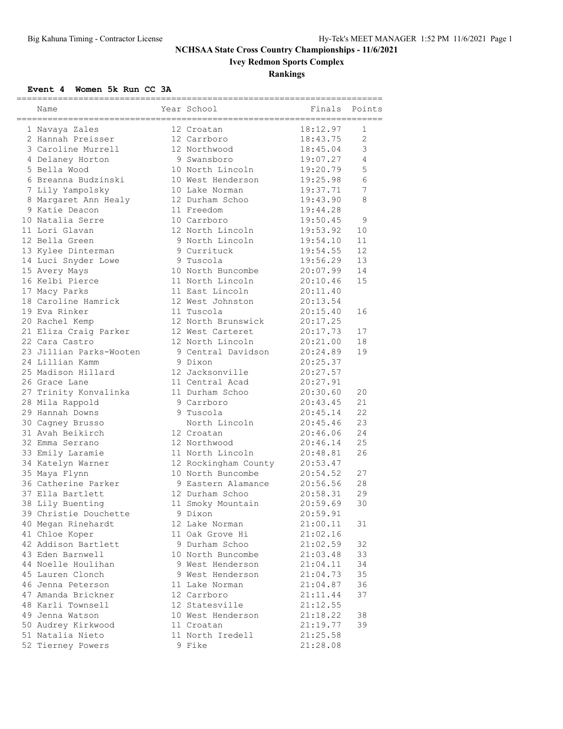# **Ivey Redmon Sports Complex**

### **Rankings**

#### **Event 4 Women 5k Run CC 3A**

|                         | ---------------------- | ----------------------------- |                |
|-------------------------|------------------------|-------------------------------|----------------|
| Name                    | Year School            | Finals                        | Points         |
| 1 Navaya Zales          | 12 Croatan             | 18:12.97                      | 1              |
| 2 Hannah Preisser       | 12 Carrboro            | 18:43.75                      | $\overline{2}$ |
| 3 Caroline Murrell      | 12 Northwood           | 18:45.04                      | $\mathsf 3$    |
| 4 Delaney Horton        | 9 Swansboro            | 19:07.27                      | $\overline{4}$ |
| 5 Bella Wood            | 10 North Lincoln       | 19:20.79                      | 5              |
| 6 Breanna Budzinski     | 10 West Henderson      | 19:25.98                      | 6              |
| 7 Lily Yampolsky        | 10 Lake Norman         | 19:37.71                      | 7              |
| 8 Margaret Ann Healy    | 12 Durham Schoo        | 19:43.90                      | 8              |
| 9 Katie Deacon          | 11 Freedom             | 19:44.28                      |                |
| 10 Natalia Serre        | 10 Carrboro            | 19:50.45                      | 9              |
| 11 Lori Glavan          | 12 North Lincoln       | 19:53.92                      | 10             |
| 12 Bella Green          | 9 North Lincoln        | 19:54.10                      | 11             |
| 13 Kylee Dinterman      | 9 Currituck            | 19:54.55                      | 12             |
| 14 Luci Snyder Lowe     | 9 Tuscola              | 19:56.29                      | 13             |
| 15 Avery Mays           | 10 North Buncombe      | 20:07.99                      | 14             |
| 16 Kelbi Pierce         | 11 North Lincoln       | 20:10.46                      | 15             |
| 17 Macy Parks           | 11 East Lincoln        | 20:11.40                      |                |
| 18 Caroline Hamrick     | 12 West Johnston       | 20:13.54                      |                |
| 19 Eva Rinker           | 11 Tuscola             | 20:15.40                      | 16             |
| 20 Rachel Kemp          | 12 North Brunswick     | 20:17.25                      |                |
| 21 Eliza Craig Parker   | 12 West Carteret       | 20:17.73                      | 17             |
| 22 Cara Castro          | 12 North Lincoln       | 20:21.00                      | 18             |
| 23 Jillian Parks-Wooten | 9 Central Davidson     | 20:24.89                      | 19             |
| 24 Lillian Kamm         | 9 Dixon                | 20:25.37                      |                |
| 25 Madison Hillard      | 12 Jacksonville        | 20:27.57                      |                |
| 26 Grace Lane           | 11 Central Acad        | 20:27.91                      |                |
| 27 Trinity Konvalinka   | 11 Durham Schoo        | 20:30.60                      | 20             |
| 28 Mila Rappold         | 9 Carrboro             | 20:43.45                      | 21             |
| 29 Hannah Downs         | 9 Tuscola              | 20:45.14                      | 22             |
| 30 Cagney Brusso        | North Lincoln          | 20:45.46                      | 23             |
| 31 Avah Beikirch        | 12 Croatan             | 20:46.06                      | 24             |
| 32 Emma Serrano         | 12 Northwood           | 20:46.14                      | 25             |
| 33 Emily Laramie        | 11 North Lincoln       | 20:48.81                      | 26             |
| 34 Katelyn Warner       | 12 Rockingham County   | 20:53.47                      |                |
| 35 Maya Flynn           | 10 North Buncombe      | 20:54.52                      | 27             |
| 36 Catherine Parker     | 9 Eastern Alamance     | 20:56.56                      | 28             |
| 37 Ella Bartlett        | 12 Durham Schoo        | 20:58.31                      | 29             |
| 38 Lily Buenting        | 11 Smoky Mountain      | 20:59.69                      | 30             |
| 39 Christie Douchette   | 9 Dixon                | 20:59.91                      |                |
| 40 Megan Rinehardt      | 12 Lake Norman         | 21:00.11                      | 31             |
| 41 Chloe Koper          | 11 Oak Grove Hi        | 21:02.16                      |                |
| 42 Addison Bartlett     | 9 Durham Schoo         | 21:02.59                      | 32             |
| 43 Eden Barnwell        | 10 North Buncombe      | 21:03.48                      | 33             |
| 44 Noelle Houlihan      | 9 West Henderson       | 21:04.11                      | 34             |
| 45 Lauren Clonch        | 9 West Henderson       | 21:04.73                      | 35             |
| 46 Jenna Peterson       | 11 Lake Norman         | 21:04.87                      | 36             |
| 47 Amanda Brickner      | 12 Carrboro            | 21:11.44                      | 37             |
| 48 Karli Townsell       | 12 Statesville         | 21:12.55                      |                |
| 49 Jenna Watson         | 10 West Henderson      | 21:18.22                      | 38             |
| 50 Audrey Kirkwood      | 11 Croatan             | 21:19.77                      | 39             |
| 51 Natalia Nieto        | 11 North Iredell       | 21:25.58                      |                |
| 52 Tierney Powers       | 9 Fike                 | 21:28.08                      |                |
|                         |                        |                               |                |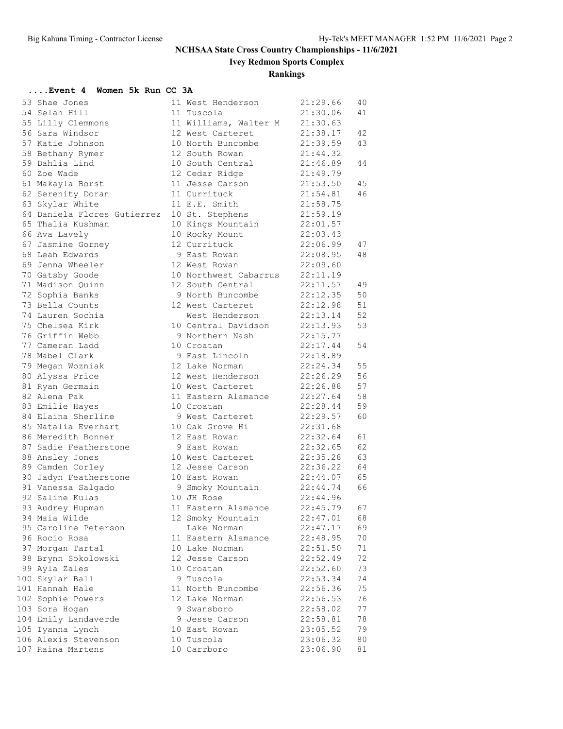**Ivey Redmon Sports Complex**

#### **Rankings**

#### **....Event 4 Women 5k Run CC 3A** 53 Shae Jones 11 West Henderson 21:29.66 40 54 Selah Hill 11 Tuscola 21:30.06 41 55 Lilly Clemmons 11 Williams, Walter M 21:30.63 56 Sara Windsor 12 West Carteret 21:38.17 42 57 Katie Johnson 10 North Buncombe 21:39.59 43 58 Bethany Rymer 12 South Rowan 21:44.32 59 Dahlia Lind 10 South Central 21:46.89 44 60 Zoe Wade 12 Cedar Ridge 21:49.79 61 Makayla Borst 11 Jesse Carson 21:53.50 45 62 Serenity Doran 11 Currituck 21:54.81 46 63 Skylar White 11 E.E. Smith 21:58.75 64 Daniela Flores Gutierrez 10 St. Stephens 21:59.19 65 Thalia Kushman 10 Kings Mountain 22:01.57 66 Ava Lavely 10 Rocky Mount 22:03.43 67 Jasmine Gorney 12 Currituck 22:06.99 47 68 Leah Edwards 9 East Rowan 22:08.95 48 69 Jenna Wheeler 12 West Rowan 22:09.60 70 Gatsby Goode 10 Northwest Cabarrus 22:11.19 71 Madison Quinn 12 South Central 22:11.57 49 72 Sophia Banks 9 North Buncombe 22:12.35 50 73 Bella Counts 12 West Carteret 22:12.98 51 74 Lauren Sochia West Henderson 22:13.14 52 75 Chelsea Kirk 10 Central Davidson 22:13.93 53 76 Griffin Webb 9 Northern Nash 22:15.77 77 Cameran Ladd 10 Croatan 22:17.44 54 78 Mabel Clark 9 East Lincoln 22:18.89 79 Megan Wozniak 12 Lake Norman 22:24.34 55 80 Alyssa Price 12 West Henderson 22:26.29 56 81 Ryan Germain 10 West Carteret 22:26.88 57 82 Alena Pak 11 Eastern Alamance 22:27.64 58 83 Emilie Hayes 10 Croatan 22:28.44 59 84 Elaina Sherline 9 West Carteret 22:29.57 60 85 Natalia Everhart 10 Oak Grove Hi 22:31.68 86 Meredith Bonner 12 East Rowan 22:32.64 61 87 Sadie Featherstone 9 East Rowan 22:32.65 62 88 Ansley Jones 10 West Carteret 22:35.28 63 89 Camden Corley 12 Jesse Carson 22:36.22 64 90 Jadyn Featherstone 10 East Rowan 22:44.07 65 91 Vanessa Salgado 9 Smoky Mountain 22:44.74 66 92 Saline Kulas 10 JH Rose 22:44.96 93 Audrey Hupman 11 Eastern Alamance 22:45.79 67 94 Maia Wilde 12 Smoky Mountain 22:47.01 68 95 Caroline Peterson Lake Norman 22:47.17 69 96 Rocio Rosa 11 Eastern Alamance 22:48.95 70 97 Morgan Tartal 10 Lake Norman 22:51.50 71 98 Brynn Sokolowski 12 Jesse Carson 22:52.49 72 99 Ayla Zales 10 Croatan 22:52.60 73 100 Skylar Ball 9 Tuscola 22:53.34 74 101 Hannah Hale 11 North Buncombe 22:56.36 75 102 Sophie Powers 12 Lake Norman 22:56.53 76 103 Sora Hogan 9 Swansboro 22:58.02 77 104 Emily Landaverde 9 Jesse Carson 22:58.81 78 105 Iyanna Lynch 10 East Rowan 23:05.52 79 106 Alexis Stevenson 10 Tuscola 23:06.32 80 107 Raina Martens 10 Carrboro 23:06.90 81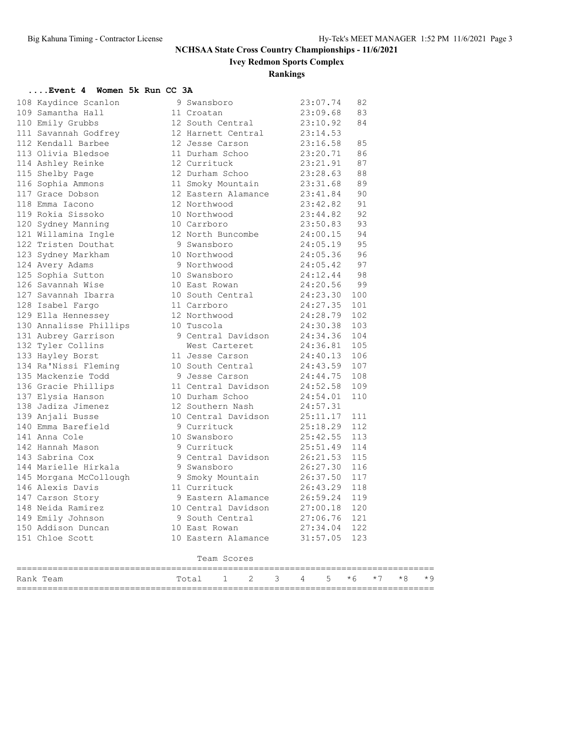**Ivey Redmon Sports Complex**

### **Rankings**

#### **....Event 4 Women 5k Run CC 3A**

| Rank Team                                        | 2<br>3<br>1<br>Total                                     | 4        | 5        | $*6$       | $*7$ | $*8$ | $*9$ |
|--------------------------------------------------|----------------------------------------------------------|----------|----------|------------|------|------|------|
|                                                  | Team Scores                                              |          |          |            |      |      |      |
|                                                  |                                                          |          |          |            |      |      |      |
| 151 Chloe Scott                                  | 10 Eastern Alamance                                      |          | 31:57.05 | 123        |      |      |      |
| 150 Addison Duncan                               | 10 East Rowan                                            |          | 27:34.04 | 122        |      |      |      |
| 149 Emily Johnson                                | 9 South Central                                          | 27:06.76 |          | 121        |      |      |      |
| 148 Neida Ramirez                                | 10 Central Davidson                                      |          | 27:00.18 | 120        |      |      |      |
| 146 Alexis Davis<br>147 Carson Story             | 11 Currituck<br>9 Eastern Alamance                       | 26:43.29 | 26:59.24 | 118<br>119 |      |      |      |
| 145 Morgana McCollough 9 Smoky Mountain 26:37.50 |                                                          |          |          | 117        |      |      |      |
| 144 Marielle Hirkala                             | 9 Swansboro                                              | 26:27.30 |          | 116        |      |      |      |
| 143 Sabrina Cox                                  |                                                          | 26:21.53 |          | 115        |      |      |      |
| 142 Hannah Mason                                 | 9 Currituck<br>9 Central Davidson                        | 25:51.49 |          | 114        |      |      |      |
| 141 Anna Cole                                    | 10 Swansboro 25:42.55                                    |          |          | 113        |      |      |      |
| 140 Emma Barefield                               | 9 Currituck                                              |          | 25:18.29 | 112        |      |      |      |
| 139 Anjali Busse                                 | 10 Central Davidson 25:11.17                             |          |          | 111        |      |      |      |
| 138 Jadiza Jimenez                               | 12 Southern Nash                                         | 24:57.31 |          |            |      |      |      |
| 137 Elysia Hanson                                | 10 Durham Schoo                                          |          | 24:54.01 | 110        |      |      |      |
| 136 Gracie Phillips                              | 11 Central Davidson                                      | 24:52.58 |          | 109        |      |      |      |
| 135 Mackenzie Todd                               | 9 Jesse Carson                                           | 24:44.75 |          | 108        |      |      |      |
| 134 Ra'Nissi Fleming                             | 10 South Central 24:43.59                                |          |          | 107        |      |      |      |
| 133 Hayley Borst                                 | 11 Jesse Carson 24:40.13                                 |          |          | 106        |      |      |      |
| 132 Tyler Collins                                | West Carteret                                            | 24:36.81 |          | 105        |      |      |      |
| 131 Aubrey Garrison                              | 9 Central Davidson                                       | 24:34.36 |          | 104        |      |      |      |
| 130 Annalisse Phillips                           | 10 Tuscola                                               | 24:30.38 |          | 103        |      |      |      |
| 129 Ella Hennessey                               | 12 Northwood 24:28.79                                    |          |          | 102        |      |      |      |
| 128 Isabel Fargo                                 | 11 Carrboro                                              | 24:27.35 |          | 101        |      |      |      |
| 127 Savannah Ibarra                              | 10 South Central 24:23.30                                |          |          | 100        |      |      |      |
| 126 Savannah Wise                                | 10 East Rowan                                            | 24:20.56 |          | 99         |      |      |      |
| 125 Sophia Sutton                                | 10 Swansboro                                             | 24:12.44 |          | 98         |      |      |      |
| 124 Avery Adams                                  | 9 Northwood 24:05.42                                     |          |          | 97         |      |      |      |
| 123 Sydney Markham                               | 10 Northwood 24:05.36                                    |          |          | 96         |      |      |      |
| 122 Tristen Douthat                              | 9 Swansboro 24:05.19                                     |          |          | 95         |      |      |      |
| 121 Willamina Ingle                              | 12 North Buncombe 24:00.15                               |          |          | 94         |      |      |      |
| 120 Sydney Manning                               | 10 Carrboro                                              | 23:50.83 |          | 93         |      |      |      |
| 119 Rokia Sissoko                                | 10 Northwood                                             | 23:44.82 |          | 92         |      |      |      |
| 118 Emma Iacono                                  | 12 Northwood                                             |          | 23:42.82 | 91         |      |      |      |
| 117 Grace Dobson                                 | 12 Eastern Alamance                                      |          | 23:41.84 | 90         |      |      |      |
| 116 Sophia Ammons                                | 11 Smoky Mountain                                        |          | 23:31.68 | 89         |      |      |      |
| 115 Shelby Page                                  | 12 Durham Schoo                                          |          | 23:28.63 | 88         |      |      |      |
| 114 Ashley Reinke                                | 12 Currituck                                             | 23:21.91 |          | 87         |      |      |      |
| 113 Olivia Bledsoe                               | 12 Jesse Carson<br>12 USSE<br>11 Durham Schoo            | 23:20.71 |          | 86         |      |      |      |
| 112 Kendall Barbee                               |                                                          | 23:16.58 |          | 85         |      |      |      |
| 110 Emily Grubbs<br>111 Savannah Godfrey         | 12 South Central 23:10.92<br>12 Harnett Central 23:14.53 |          |          |            |      |      |      |
| 109 Samantha Hall                                | 11 Croatan                                               | 23:09.68 |          | 83<br>84   |      |      |      |
| 108 Kaydince Scanlon                             | 9 Swansboro                                              |          | 23:07.74 | 82         |      |      |      |
|                                                  |                                                          |          |          |            |      |      |      |